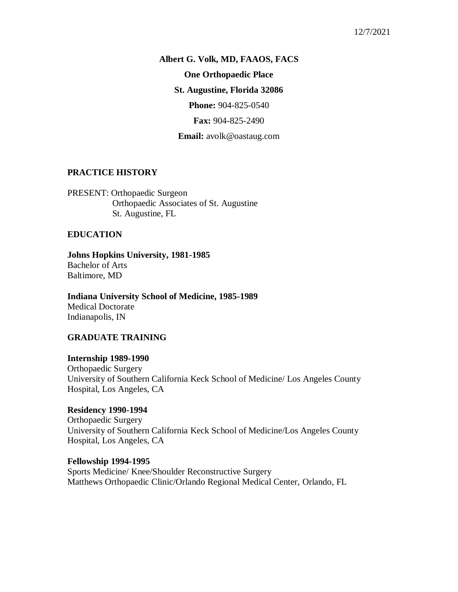#### 12/7/2021

**Albert G. Volk, MD, FAAOS, FACS One Orthopaedic Place St. Augustine, Florida 32086 Phone:** 904-825-0540 **Fax:** 904-825-2490

**Email:** avolk@oastaug.com

# **PRACTICE HISTORY**

PRESENT: Orthopaedic Surgeon Orthopaedic Associates of St. Augustine St. Augustine, FL

### **EDUCATION**

**Johns Hopkins University, 1981-1985** Bachelor of Arts Baltimore, MD

**Indiana University School of Medicine, 1985-1989** Medical Doctorate Indianapolis, IN

#### **GRADUATE TRAINING**

**Internship 1989-1990** Orthopaedic Surgery University of Southern California Keck School of Medicine/ Los Angeles County Hospital, Los Angeles, CA

**Residency 1990-1994** Orthopaedic Surgery University of Southern California Keck School of Medicine/Los Angeles County Hospital, Los Angeles, CA

**Fellowship 1994-1995** Sports Medicine/ Knee/Shoulder Reconstructive Surgery Matthews Orthopaedic Clinic/Orlando Regional Medical Center, Orlando, FL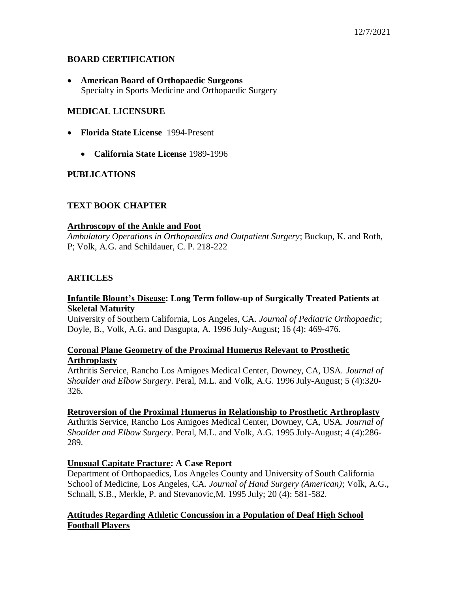# **BOARD CERTIFICATION**

 **American Board of Orthopaedic Surgeons** Specialty in Sports Medicine and Orthopaedic Surgery

## **MEDICAL LICENSURE**

- **Florida State License** 1994-Present
	- **California State License** 1989-1996

## **PUBLICATIONS**

# **TEXT BOOK CHAPTER**

### **Arthroscopy of the Ankle and Foot**

*Ambulatory Operations in Orthopaedics and Outpatient Surgery*; Buckup, K. and Roth, P; Volk, A.G. and Schildauer, C. P. 218-222

## **ARTICLES**

### **Infantile Blount's Disease: Long Term follow-up of Surgically Treated Patients at Skeletal Maturity**

University of Southern California, Los Angeles, CA. *Journal of Pediatric Orthopaedic*; Doyle, B., Volk, A.G. and Dasgupta, A. 1996 July-August; 16 (4): 469-476.

### **Coronal Plane Geometry of the Proximal Humerus Relevant to Prosthetic Arthroplasty**

Arthritis Service, Rancho Los Amigoes Medical Center, Downey, CA, USA. *Journal of Shoulder and Elbow Surgery*. Peral, M.L. and Volk, A.G. 1996 July-August; 5 (4):320- 326.

### **Retroversion of the Proximal Humerus in Relationship to Prosthetic Arthroplasty**

Arthritis Service, Rancho Los Amigoes Medical Center, Downey, CA, USA. *Journal of Shoulder and Elbow Surgery*. Peral, M.L. and Volk, A.G. 1995 July-August; 4 (4):286- 289.

### **Unusual Capitate Fracture: A Case Report**

Department of Orthopaedics, Los Angeles County and University of South California School of Medicine, Los Angeles, CA. *Journal of Hand Surgery (American)*; Volk, A.G., Schnall, S.B., Merkle, P. and Stevanovic,M. 1995 July; 20 (4): 581-582.

## **Attitudes Regarding Athletic Concussion in a Population of Deaf High School Football Players**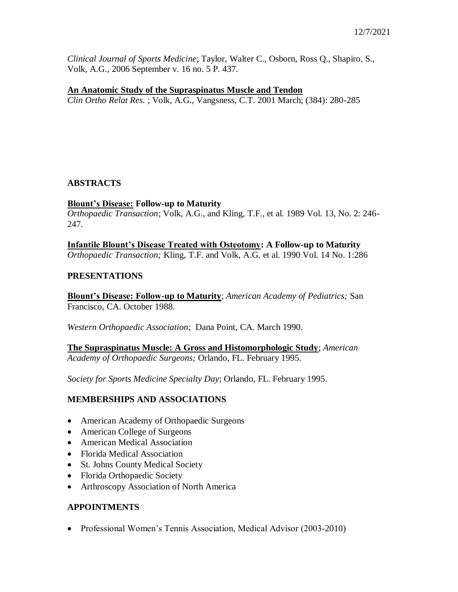*Clinical Journal of Sports Medicine*; Taylor, Walter C., Osborn, Ross Q., Shapiro, S., Volk, A.G., 2006 September v. 16 no. 5 P. 437.

### **An Anatomic Study of the Supraspinatus Muscle and Tendon**

*Clin Ortho Relat Res.* ; Volk, A.G., Vangsness, C.T. 2001 March; (384): 280-285

## **ABSTRACTS**

### **Blount's Disease: Follow-up to Maturity**

*Orthopaedic Transaction*; Volk, A.G., and Kling, T.F., et al. 1989 Vol. 13, No. 2: 246- 247.

**Infantile Blount's Disease Treated with Osteotomy: A Follow-up to Maturity** *Orthopaedic Transaction;* Kling, T.F. and Volk, A.G. et al. 1990 Vol. 14 No. 1:286

#### **PRESENTATIONS**

**Blount's Disease: Follow-up to Maturity**; *American Academy of Pediatrics;* San Francisco, CA. October 1988.

*Western Orthopaedic Association*; Dana Point, CA. March 1990.

**The Supraspinatus Muscle: A Gross and Histomorphologic Study**; *American Academy of Orthopaedic Surgeons;* Orlando, FL. February 1995.

*Society for Sports Medicine Specialty Day*; Orlando, FL. February 1995.

### **MEMBERSHIPS AND ASSOCIATIONS**

- American Academy of Orthopaedic Surgeons
- American College of Surgeons
- American Medical Association
- Florida Medical Association
- St. Johns County Medical Society
- Florida Orthopaedic Society
- Arthroscopy Association of North America

# **APPOINTMENTS**

• Professional Women's Tennis Association, Medical Advisor (2003-2010)